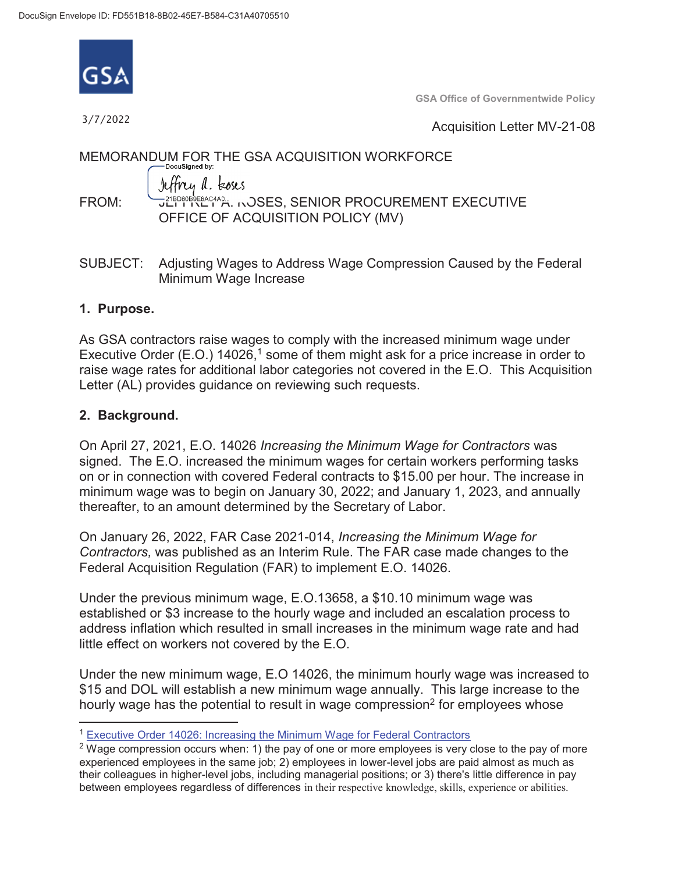

**GSA Office of Governmentwide Policy** 

 $3/7/2022$ 

Acquisition Letter MV-21-08

# MEMORANDUM FOR THE GSA ACQUISITION WORKFORCE Jeffrey a. koses FROM: JEFFREY A. NOSES, SENIOR PROCUREMENT EXECUTIVE

OFFICE OF ACQUISITION POLICY (MV)

 Minimum Wage Increase SUBJECT: Adjusting Wages to Address Wage Compression Caused by the Federal

#### **1. Purpose.**

Executive Order (E.O.)  $14026<sup>1</sup>$  some of them might ask for a price increase in order to As GSA contractors raise wages to comply with the increased minimum wage under raise wage rates for additional labor categories not covered in the E.O. This Acquisition Letter (AL) provides guidance on reviewing such requests.

### **2. Background.**

l

On April 27, 2021, E.O. 14026 *Increasing the Minimum Wage for Contractors* was signed. The E.O. increased the minimum wages for certain workers performing tasks on or in connection with covered Federal contracts to \$15.00 per hour. The increase in minimum wage was to begin on January 30, 2022; and January 1, 2023, and annually thereafter, to an amount determined by the Secretary of Labor.

On January 26, 2022, FAR Case 2021-014, *Increasing the Minimum Wage for Contractors,* was published as an Interim Rule. The FAR case made changes to the Federal Acquisition Regulation (FAR) to implement E.O. 14026.

little effect on workers not covered by the E.O. Under the previous minimum wage, E.O.13658, a \$10.10 minimum wage was established or \$3 increase to the hourly wage and included an escalation process to address inflation which resulted in small increases in the minimum wage rate and had

Under the new minimum wage, E.O. 14026, the minimum hourly wage was increased to \$15 and DOL will establish a new minimum wage annually. This large increase to the hourly wage has the potential to result in wage compression<sup>2</sup> for employees whose

<sup>&</sup>lt;sup>1</sup> Executive Order 14026: Increasing the Minimum Wage for Federal Contractors

 $^2$  Wage compression occurs when: 1) the pay of one or more employees is very close to the pay of more experienced employees in the same job; 2) employees in lower-level jobs are paid almost as much as their colleagues in higher-level jobs, including managerial positions; or 3) there's little difference in pay between employees regardless of differences in their respective knowledge, skills, experience or abilities.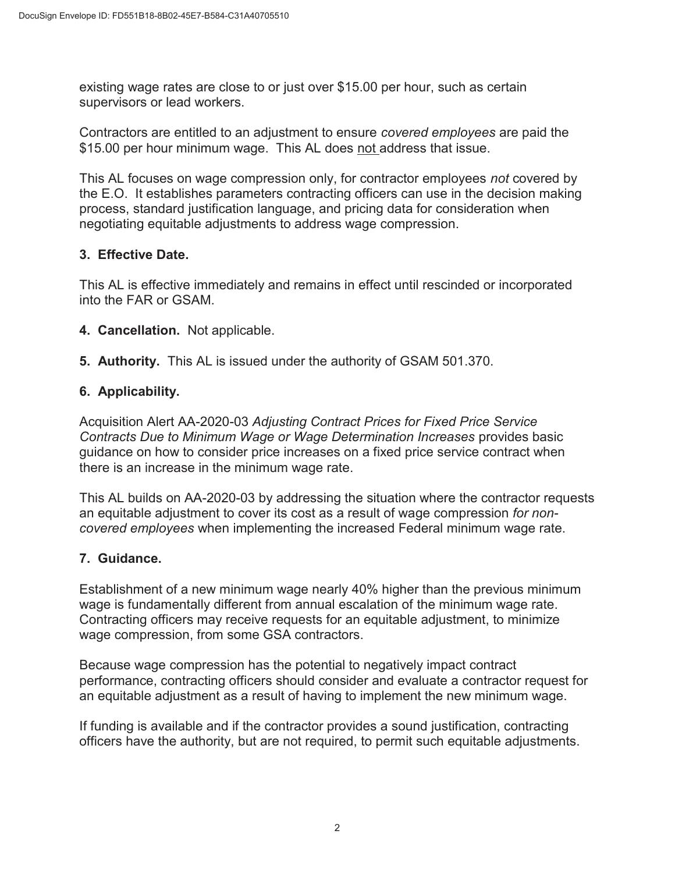existing wage rates are close to or just over \$15.00 per hour, such as certain supervisors or lead workers.

Contractors are entitled to an adjustment to ensure *covered employees* are paid the \$15.00 per hour minimum wage. This AL does not address that issue.

This AL focuses on wage compression only, for contractor employees *not* covered by the E.O. It establishes parameters contracting officers can use in the decision making process, standard justification language, and pricing data for consideration when negotiating equitable adjustments to address wage compression.

## **3. Effective Date.**

 into the FAR or GSAM. This AL is effective immediately and remains in effect until rescinded or incorporated

- **4. Cancellation.** Not applicable.
- **5. Authority.** This AL is issued under the authority of GSAM 501.370.

## **6. Applicability.**

Acquisition Alert AA-2020-03 *Adjusting Contract Prices for Fixed Price Service Contracts Due to Minimum Wage or Wage Determination Increases* provides basic guidance on how to consider price increases on a fixed price service contract when there is an increase in the minimum wage rate.

 *covered employees* when implementing the increased Federal minimum wage rate. This AL builds on AA-2020-03 by addressing the situation where the contractor requests an equitable adjustment to cover its cost as a result of wage compression *for non-*

## **7. Guidance.**

Establishment of a new minimum wage nearly 40% higher than the previous minimum wage is fundamentally different from annual escalation of the minimum wage rate. Contracting officers may receive requests for an equitable adjustment, to minimize wage compression, from some GSA contractors.

Because wage compression has the potential to negatively impact contract performance, contracting officers should consider and evaluate a contractor request for an equitable adjustment as a result of having to implement the new minimum wage.

If funding is available and if the contractor provides a sound justification, contracting officers have the authority, but are not required, to permit such equitable adjustments.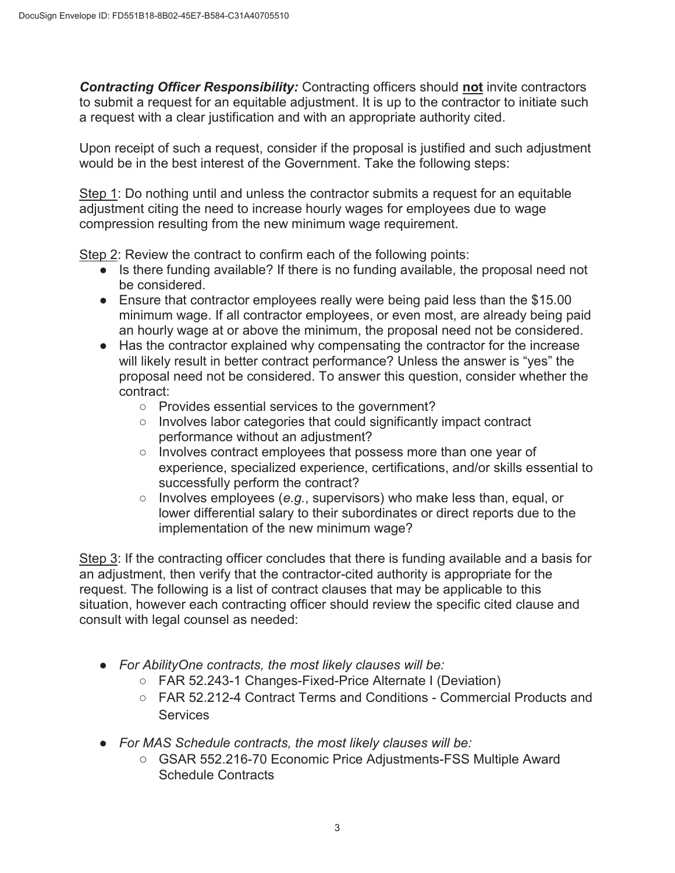*Contracting Officer Responsibility:* Contracting officers should **not** invite contractors to submit a request for an equitable adjustment. It is up to the contractor to initiate such a request with a clear justification and with an appropriate authority cited.

Upon receipt of such a request, consider if the proposal is justified and such adjustment would be in the best interest of the Government. Take the following steps:

Step 1: Do nothing until and unless the contractor submits a request for an equitable adjustment citing the need to increase hourly wages for employees due to wage compression resulting from the new minimum wage requirement.

Step 2: Review the contract to confirm each of the following points:

- ● Is there funding available? If there is no funding available, the proposal need not be considered.
- Ensure that contractor employees really were being paid less than the \$15.00 minimum wage. If all contractor employees, or even most, are already being paid an hourly wage at or above the minimum, the proposal need not be considered.
- Has the contractor explained why compensating the contractor for the increase will likely result in better contract performance? Unless the answer is "yes" the proposal need not be considered. To answer this question, consider whether the contract:
	- Provides essential services to the government?
	- Involves labor categories that could significantly impact contract performance without an adjustment?
	- Involves contract employees that possess more than one year of experience, specialized experience, certifications, and/or skills essential to successfully perform the contract?
	- Involves employees (*e.g.*, supervisors) who make less than, equal, or lower differential salary to their subordinates or direct reports due to the implementation of the new minimum wage?

Step 3: If the contracting officer concludes that there is funding available and a basis for an adjustment, then verify that the contractor-cited authority is appropriate for the request. The following is a list of contract clauses that may be applicable to this situation, however each contracting officer should review the specific cited clause and consult with legal counsel as needed:

- *For AbilityOne contracts, the most likely clauses will be:*
	- FAR 52.243-1 Changes-Fixed-Price Alternate I (Deviation)
	- FAR 52.212-4 Contract Terms and Conditions Commercial Products and **Services**
- *For MAS Schedule contracts, the most likely clauses will be:*
	- GSAR 552.216-70 Economic Price Adjustments-FSS Multiple Award Schedule Contracts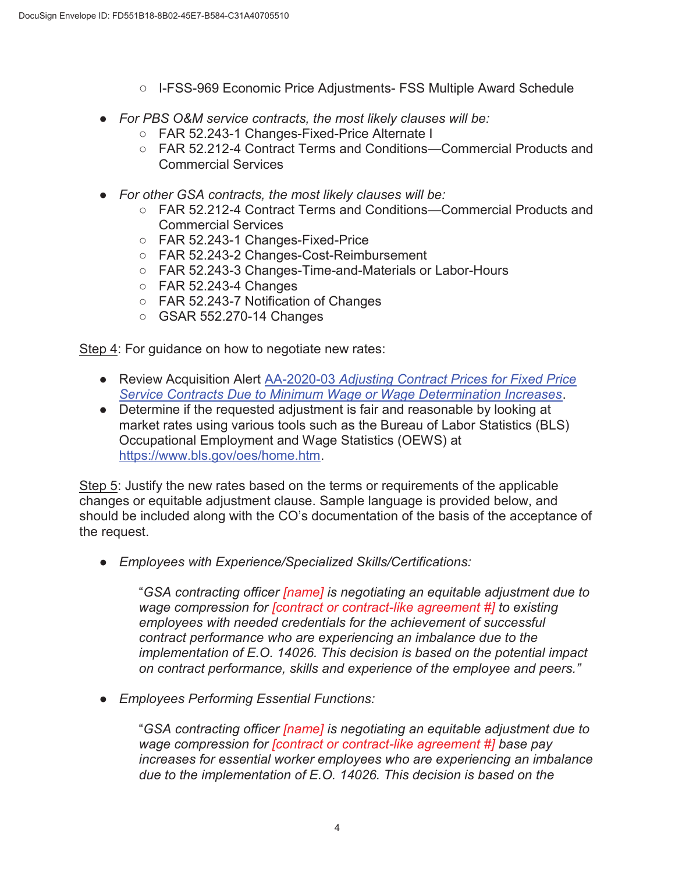- I-FSS-969 Economic Price Adjustments- FSS Multiple Award Schedule
- *For PBS O&M service contracts, the most likely clauses will be:* 
	- FAR 52.243-1 Changes-Fixed-Price Alternate I
	- FAR 52.212-4 Contract Terms and Conditions—Commercial Products and Commercial Services
- *For other GSA contracts, the most likely clauses will be:* 
	- FAR 52.212-4 Contract Terms and Conditions—Commercial Products and Commercial Services
	- FAR 52.243-1 Changes-Fixed-Price
	- FAR 52.243-2 Changes-Cost-Reimbursement
	- FAR 52.243-3 Changes-Time-and-Materials or Labor-Hours
	- $\circ$  FAR 52.243-4 Changes
	- FAR 52.243-7 Notification of Changes
	- GSAR 552.270-14 Changes

Step 4: For guidance on how to negotiate new rates:

- Review Acquisition Alert AA-2020-03 *[Adjusting Contract Prices for Fixed Price](https://insite.gsa.gov/cdnstatic/AA-2020-03.pdf)  [Service Contracts Due to Minimum Wage or Wage Determination Increases](https://insite.gsa.gov/cdnstatic/AA-2020-03.pdf)*.
- Occupational Employment and Wage Statistics (OEWS) at<br>[https://www.bls.gov/oes/home.htm.](https://www.bls.gov/oes/home.htm) • Determine if the requested adjustment is fair and reasonable by looking at market rates using various tools such as the Bureau of Labor Statistics (BLS)

Step 5: Justify the new rates based on the terms or requirements of the applicable changes or equitable adjustment clause. Sample language is provided below, and should be included along with the CO's documentation of the basis of the acceptance of the request.

● *Employees with Experience/Specialized Skills/Certifications:* 

"*GSA contracting officer [name] is negotiating an equitable adjustment due to wage compression for [contract or contract-like agreement #] to existing employees with needed credentials for the achievement of successful contract performance who are experiencing an imbalance due to the implementation of E.O. 14026. This decision is based on the potential impact on contract performance, skills and experience of the employee and peers."* 

● *Employees Performing Essential Functions:* 

"*GSA contracting officer [name] is negotiating an equitable adjustment due to wage compression for [contract or contract-like agreement #] base pay increases for essential worker employees who are experiencing an imbalance due to the implementation of E.O. 14026. This decision is based on the*